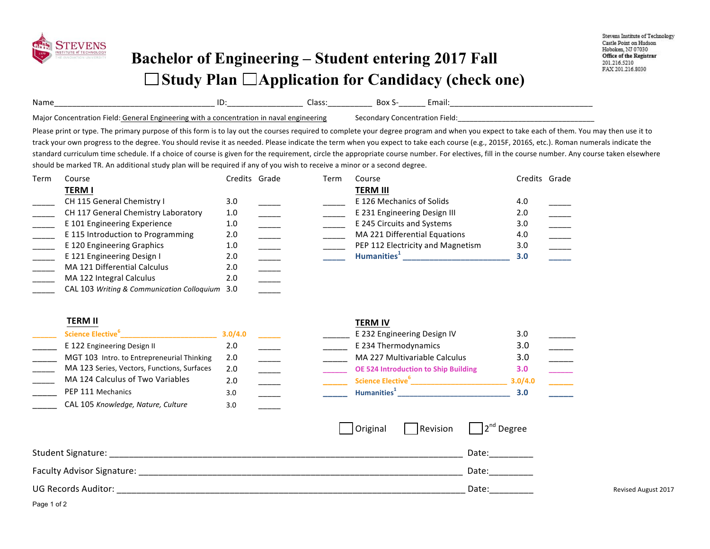

## **Bachelor of Engineering – Student entering 2017 Fall**  □ Study Plan □ Application for Candidacy (check one)

| Name                                                                            | ιυ<br>___________________ | Class:                | DUX<br>____________<br>________ | спіан. |  |
|---------------------------------------------------------------------------------|---------------------------|-----------------------|---------------------------------|--------|--|
| Major<br>. FIAIN<br>atınn<br>General<br>' Fngineering<br>. entr.<br>with<br>nnr | a concentration in        | $m$ neerin $\epsilon$ |                                 | ∙ield  |  |

Please print or type. The primary purpose of this form is to lay out the courses required to complete your degree program and when you expect to take each of them. You may then use it to track your own progress to the degree. You should revise it as needed. Please indicate the term when you expect to take each course (e.g., 2015F, 2016S, etc.). Roman numerals indicate the standard curriculum time schedule. If a choice of course is given for the requirement, circle the appropriate course number. For electives, fill in the course number. Any course taken elsewhere should be marked TR. An additional study plan will be required if any of you wish to receive a minor or a second degree.

| Term | Course                                         | Credits Grade | Term | Course                            | Credits Grade |  |
|------|------------------------------------------------|---------------|------|-----------------------------------|---------------|--|
|      | <b>TERM I</b>                                  |               |      | <b>TERM III</b>                   |               |  |
|      | CH 115 General Chemistry I                     | 3.0           |      | E 126 Mechanics of Solids         | 4.0           |  |
|      | CH 117 General Chemistry Laboratory            | 1.0           |      | E 231 Engineering Design III      | 2.0           |  |
|      | E 101 Engineering Experience                   | 1.0           |      | E 245 Circuits and Systems        | 3.0           |  |
|      | E 115 Introduction to Programming              | 2.0           |      | MA 221 Differential Equations     | 4.0           |  |
|      | E 120 Engineering Graphics                     | 1.0           |      | PEP 112 Electricity and Magnetism | 3.0           |  |
|      | E 121 Engineering Design I                     | 2.0           |      | Humanities <sup>+</sup>           | 3.0           |  |
|      | MA 121 Differential Calculus                   | 2.0           |      |                                   |               |  |
|      | MA 122 Integral Calculus                       | 2.0           |      |                                   |               |  |
|      | CAL 103 Writing & Communication Colloguium 3.0 |               |      |                                   |               |  |

## **TERM II TERM IV**

| Science Elective <sup>°</sup>               | 3.0/4.0 |  | E 232 Engineering Design IV                 | 3.0     |  |
|---------------------------------------------|---------|--|---------------------------------------------|---------|--|
| E 122 Engineering Design II                 | 2.0     |  | E 234 Thermodynamics                        | 3.0     |  |
| MGT 103 Intro. to Entrepreneurial Thinking  | 2.0     |  | MA 227 Multivariable Calculus               | 3.0     |  |
| MA 123 Series, Vectors, Functions, Surfaces | 2.0     |  | <b>OE 524 Introduction to Ship Building</b> | 3.0     |  |
| MA 124 Calculus of Two Variables            | 2.0     |  | Science Elective <sup>6</sup>               | 3.0/4.0 |  |
| PEP 111 Mechanics                           | 3.0     |  | Humanities <sup>1</sup>                     | 3.0     |  |
| CAL 105 Knowledge, Nature, Culture          | 3.0     |  |                                             |         |  |

| 3.0/4.0 |  | E 232 Engineering Design IV                 | 3.0     |  |
|---------|--|---------------------------------------------|---------|--|
| 2.0     |  | E 234 Thermodynamics                        | 3.0     |  |
| 2.0     |  | MA 227 Multivariable Calculus               | 3.0     |  |
| 2.0     |  | <b>OE 524 Introduction to Ship Building</b> | 3.0     |  |
| 2.0     |  | <b>Science Elective</b> <sup>6</sup>        | 3.0/4.0 |  |
| 3.0     |  | Humanities <sup>1</sup>                     | 3.0     |  |
|         |  |                                             |         |  |

|                            | Original | Revision | $\sqrt{2^{nd}}$ Degree |                            |
|----------------------------|----------|----------|------------------------|----------------------------|
| Student Signature:         |          |          | Date:                  |                            |
| Faculty Advisor Signature: |          |          | Date:                  |                            |
| <b>UG Records Auditor:</b> |          |          | Date:                  | <b>Revised August 2017</b> |

Page 1 of 2